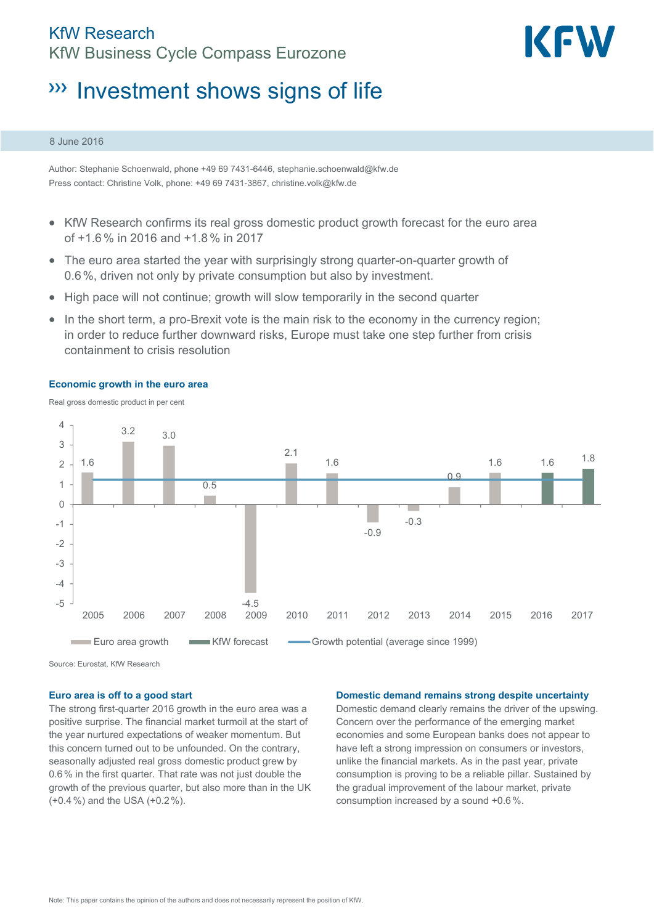## KfW Research KfW Business Cycle Compass Eurozone



# **WE Investment shows signs of life**

### 8 June 2016

Author: Stephanie Schoenwald, phone +49 69 7431-6446, stephanie.schoenwald@kfw.de Press contact: Christine Volk, phone: +49 69 7431-3867, christine.volk@kfw.de

- KfW Research confirms its real gross domestic product growth forecast for the euro area of +1.6% in 2016 and +1.8% in 2017
- The euro area started the year with surprisingly strong quarter-on-quarter growth of 0.6%, driven not only by private consumption but also by investment.
- High pace will not continue; growth will slow temporarily in the second quarter
- In the short term, a pro-Brexit vote is the main risk to the economy in the currency region; in order to reduce further downward risks, Europe must take one step further from crisis containment to crisis resolution



**Economic growth in the euro area** 

Real gross domestic product in per cent

Source: Eurostat, KfW Research

### **Euro area is off to a good start**

The strong first-quarter 2016 growth in the euro area was a positive surprise. The financial market turmoil at the start of the year nurtured expectations of weaker momentum. But this concern turned out to be unfounded. On the contrary, seasonally adjusted real gross domestic product grew by 0.6% in the first quarter. That rate was not just double the growth of the previous quarter, but also more than in the UK (+0.4%) and the USA (+0.2%).

### **Domestic demand remains strong despite uncertainty**

Domestic demand clearly remains the driver of the upswing. Concern over the performance of the emerging market economies and some European banks does not appear to have left a strong impression on consumers or investors, unlike the financial markets. As in the past year, private consumption is proving to be a reliable pillar. Sustained by the gradual improvement of the labour market, private consumption increased by a sound +0.6%.